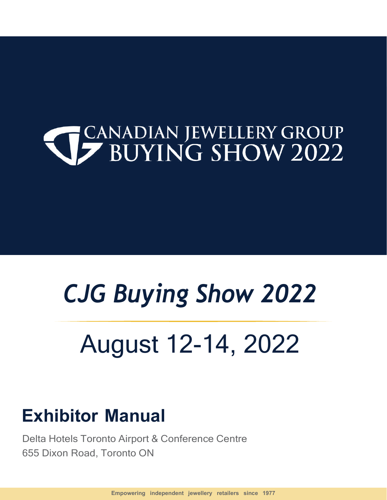# **CANADIAN JEWELLERY GROUP**<br> **SUITE SHOW 2022**

# CJG Buying Show 2022

# August 12-14, 2022

### Exhibitor Manual

Delta Hotels Toronto Airport & Conference Centre 655 Dixon Road, Toronto ON

Empowering independent jewellery retailers since 1977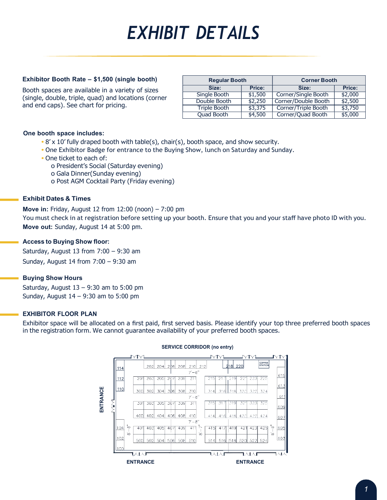## EXHIBIT DETAILS

#### Exhibitor Booth Rate – \$1,500 (single booth)

Booth spaces are available in a variety of sizes (single, double, triple, quad) and locations (corner and end caps). See chart for pricing.

| <b>Regular Booth</b> |  |         | <b>Corner Booth</b> |               |
|----------------------|--|---------|---------------------|---------------|
| Size:                |  | Price:  | Size:               | <b>Price:</b> |
| Single Booth         |  | \$1,500 | Corner/Single Booth | \$2,000       |
| Double Booth         |  | \$2,250 | Corner/Double Booth | \$2,500       |
| Triple Booth         |  | \$3,375 | Corner/Triple Booth | \$3,750       |
| <b>Quad Booth</b>    |  | \$4,500 | Corner/Quad Booth   | \$5,000       |

#### One booth space includes:

- $\bullet$  8' x 10' fully draped booth with table(s), chair(s), booth space, and show security.
- One Exhibitor Badge for entrance to the Buying Show, lunch on Saturday and Sunday.
- One ticket to each of:
	- o President's Social (Saturday evening)
	- o Gala Dinner(Sunday evening)
	- o Post AGM Cocktail Party (Friday evening)

#### Exhibit Dates & Times

Move in: Friday, August 12 from 12:00 (noon) – 7:00 pm

You must check in at registration before setting up your booth. Ensure that you and your staff have photo ID with you. Move out: Sunday, August 14 at 5:00 pm.

#### Access to Buying Show floor:

Saturday, August 13 from  $7:00 - 9:30$  am Sunday, August 14 from 7:00 – 9:30 am

#### Buying Show Hours

Saturday, August  $13 - 9:30$  am to 5:00 pm Sunday, August 14 – 9:30 am to 5:00 pm

#### EXHIBITOR FLOOR PLAN

Exhibitor space will be allocated on a first paid, first served basis. Please identify your top three preferred booth spaces in the registration form. We cannot guarantee availability of your preferred booth spaces.



#### SERVICE CORRIDOR (no entry)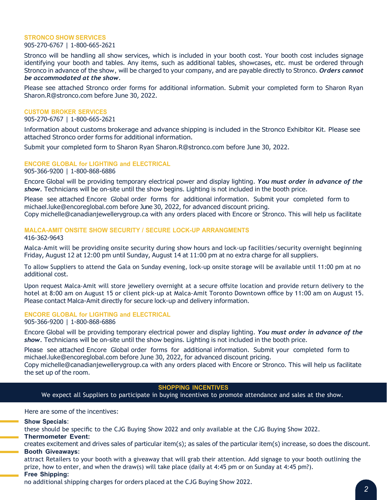#### STRONCO SHOW SERVICES

#### 905-270-6767 | 1-800-665-2621

Stronco will be handling all show services, which is included in your booth cost. Your booth cost includes signage identifying your booth and tables. Any items, such as additional tables, showcases, etc. must be ordered through Stronco in advance of the show, will be charged to your company, and are payable directly to Stronco. Orders cannot be accommodated at the show.

Please see attached Stronco order forms for additional information. Submit your completed form to Sharon Ryan Sharon.R@stronco.com before June 30, 2022.

#### CUSTOM BROKER SERVICES

905-270-6767 | 1-800-665-2621

Information about customs brokerage and advance shipping is included in the Stronco Exhibitor Kit. Please see attached Stronco order forms for additional information.

Submit your completed form to Sharon Ryan Sharon.R@stronco.com before June 30, 2022.

#### ENCORE GLOBAL for LIGHTING and ELECTRICAL

905-366-9200 | 1-800-868-6886

Encore Global will be providing temporary electrical power and display lighting. You must order in advance of the show. Technicians will be on-site until the show begins. Lighting is not included in the booth price.

Please see attached Encore Global order forms for additional information. Submit your completed form to michael.luke@encoreglobal.com before June 30, 2022, for advanced discount pricing.

Copy michelle@canadianjewellerygroup.ca with any orders placed with Encore or Stronco. This will help us facilitate

#### MALCA-AMIT ONSITE SHOW SECURITY / SECURE LOCK-UP ARRANGMENTS

416-362-9643

Malca-Amit will be providing onsite security during show hours and lock-up facilities/security overnight beginning Friday, August 12 at 12:00 pm until Sunday, August 14 at 11:00 pm at no extra charge for all suppliers.

To allow Suppliers to attend the Gala on Sunday evening, lock-up onsite storage will be available until 11:00 pm at no additional cost.

Upon request Malca-Amit will store jewellery overnight at a secure offsite location and provide return delivery to the hotel at 8:00 am on August 15 or client pick-up at Malca-Amit Toronto Downtown office by 11:00 am on August 15. Please contact Malca-Amit directly for secure lock-up and delivery information.

#### ENCORE GLOBAL for LIGHTING and ELECTRICAL

905-366-9200 | 1-800-868-6886

Encore Global will be providing temporary electrical power and display lighting. You must order in advance of the show. Technicians will be on-site until the show begins. Lighting is not included in the booth price.

Please see attached Encore Global order forms for additional information. Submit your completed form to michael.luke@encoreglobal.com before June 30, 2022, for advanced discount pricing.

Copy michelle@canadianjewellerygroup.ca with any orders placed with Encore or Stronco. This will help us facilitate the set up of the room.

#### SHOPPING INCENTIVES

We expect all Suppliers to participate in buying incentives to promote attendance and sales at the show.

Here are some of the incentives:

#### Show Specials:

these should be specific to the CJG Buying Show 2022 and only available at the CJG Buying Show 2022.

#### Thermometer Event:

creates excitement and drives sales of particular item(s); as sales of the particular item(s) increase, so does the discount. Booth Giveaways:

attract Retailers to your booth with a giveaway that will grab their attention. Add signage to your booth outlining the prize, how to enter, and when the draw(s) will take place (daily at 4:45 pm or on Sunday at 4:45 pm?).

#### Free Shipping:

no additional shipping charges for orders placed at the CJG Buying Show 2022.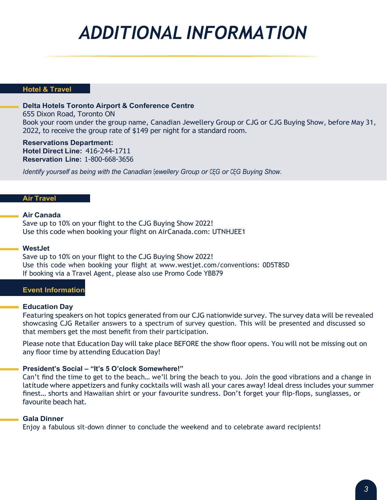### ADDITIONAL INFORMATION

#### Hotel & Travel

#### Delta Hotels Toronto Airport & Conference Centre

655 Dixon Road, Toronto ON Book your room under the group name, Canadian Jewellery Group or CJG or CJG Buying Show, before May 31, 2022, to receive the group rate of \$149 per night for a standard room.

Reservations Department: Hotel Direct Line: 416-244-1711 Reservation Line: 1-800-668-3656

Identify yourself as being with the Canadian Lewellery Group or CEG or CEG Buying Show.

#### Air Travel

#### Air Canada

Save up to 10% on your flight to the CJG Buying Show 2022! Use this code when booking your flight on AirCanada.com: UTNHJEE1

#### **WestJet**

Save up to 10% on your flight to the CJG Buying Show 2022! Use this code when booking your flight at www.westjet.com/conventions: 0D5T8SD If booking via a Travel Agent, please also use Promo Code YBB79

#### Event Information

#### Education Day

Featuring speakers on hot topics generated from our CJG nationwide survey. The survey data will be revealed showcasing CJG Retailer answers to a spectrum of survey question. This will be presented and discussed so that members get the most benefit from their participation.

Please note that Education Day will take place BEFORE the show floor opens. You will not be missing out on any floor time by attending Education Day!

#### President's Social – "It's 5 O'clock Somewhere!"

Can't find the time to get to the beach… we'll bring the beach to you. Join the good vibrations and a change in latitude where appetizers and funky cocktails will wash all your cares away! Ideal dress includes your summer finest… shorts and Hawaiian shirt or your favourite sundress. Don't forget your flip-flops, sunglasses, or favourite beach hat.

#### Gala Dinner

Enjoy a fabulous sit-down dinner to conclude the weekend and to celebrate award recipients!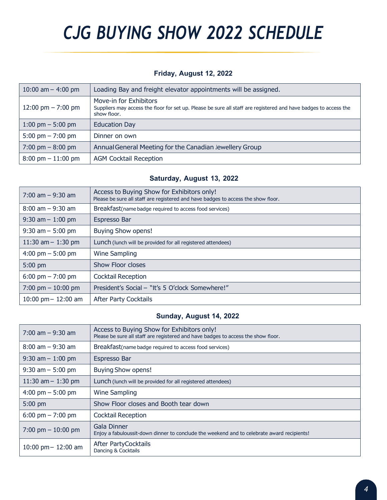# CJG BUYING SHOW 2022 SCHEDULE

#### Friday, August 12, 2022

| 10:00 am $-$ 4:00 pm                 | Loading Bay and freight elevator appointments will be assigned.                                                                                           |
|--------------------------------------|-----------------------------------------------------------------------------------------------------------------------------------------------------------|
| 12:00 pm $- 7:00$ pm                 | Move-in for Exhibitors<br>Suppliers may access the floor for set up. Please be sure all staff are registered and have badges to access the<br>show floor. |
| 1:00 pm $-$ 5:00 pm                  | <b>Education Day</b>                                                                                                                                      |
| 5:00 pm $- 7:00$ pm                  | Dinner on own                                                                                                                                             |
| $7:00 \text{ pm} - 8:00 \text{ pm}$  | Annual General Meeting for the Canadian Jewellery Group                                                                                                   |
| $8:00 \text{ pm} - 11:00 \text{ pm}$ | <b>AGM Cocktail Reception</b>                                                                                                                             |

#### Saturday, August 13, 2022

| $7:00$ am $-9:30$ am  | Access to Buying Show for Exhibitors only!<br>Please be sure all staff are registered and have badges to access the show floor. |
|-----------------------|---------------------------------------------------------------------------------------------------------------------------------|
| $8:00$ am $-9:30$ am  | Breakfast (name badge required to access food services)                                                                         |
| $9:30$ am $-1:00$ pm  | Espresso Bar                                                                                                                    |
| $9:30$ am $-5:00$ pm  | <b>Buying Show opens!</b>                                                                                                       |
| 11:30 am $-$ 1:30 pm  | Lunch (lunch will be provided for all registered attendees)                                                                     |
| 4:00 pm $-$ 5:00 pm   | <b>Wine Sampling</b>                                                                                                            |
| $5:00$ pm             | <b>Show Floor closes</b>                                                                                                        |
| 6:00 pm $- 7:00$ pm   | <b>Cocktail Reception</b>                                                                                                       |
| 7:00 pm $-$ 10:00 pm  | President's Social - "It's 5 O'clock Somewhere!"                                                                                |
| 10:00 pm $-$ 12:00 am | <b>After Party Cocktails</b>                                                                                                    |

#### Sunday, August 14, 2022

| $7:00$ am $-9:30$ am  | Access to Buying Show for Exhibitors only!<br>Please be sure all staff are registered and have badges to access the show floor. |
|-----------------------|---------------------------------------------------------------------------------------------------------------------------------|
| $8:00$ am $-9:30$ am  | Breakfast (name badge required to access food services)                                                                         |
| $9:30$ am $-1:00$ pm  | Espresso Bar                                                                                                                    |
| $9:30$ am $-5:00$ pm  | <b>Buying Show opens!</b>                                                                                                       |
| 11:30 am $-$ 1:30 pm  | Lunch (lunch will be provided for all registered attendees)                                                                     |
| 4:00 pm $-$ 5:00 pm   | Wine Sampling                                                                                                                   |
| 5:00 pm               | Show Floor closes and Booth tear down                                                                                           |
| 6:00 pm $- 7:00$ pm   | <b>Cocktail Reception</b>                                                                                                       |
| 7:00 pm $-$ 10:00 pm  | <b>Gala Dinner</b><br>Enjoy a fabuloussit-down dinner to conclude the weekend and to celebrate award recipients!                |
| 10:00 pm $-$ 12:00 am | After PartyCocktails<br>Dancing & Cocktails                                                                                     |